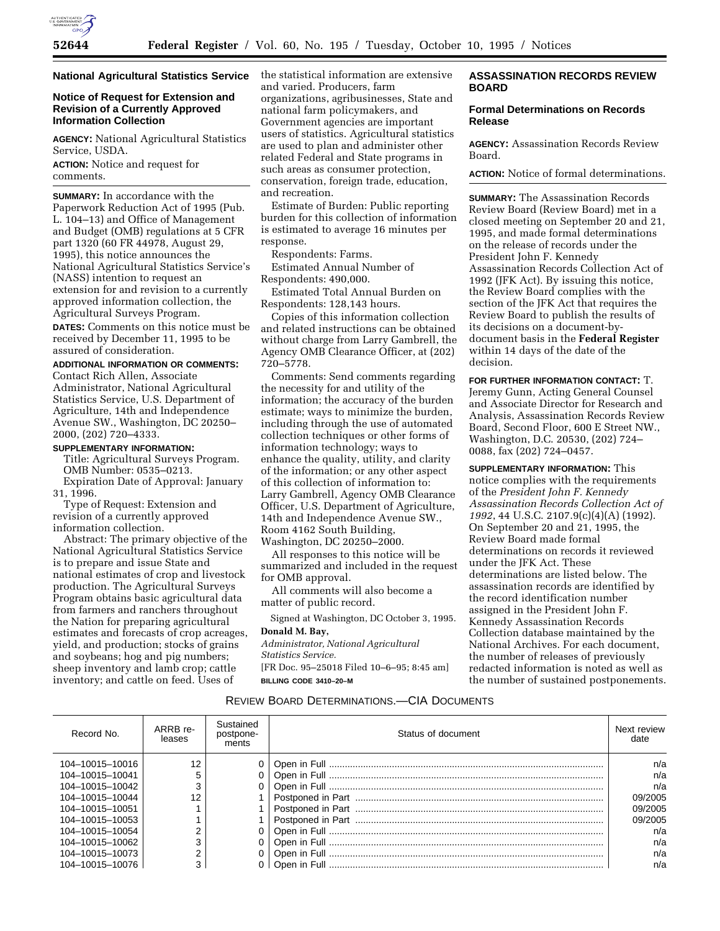

#### **National Agricultural Statistics Service**

## **Notice of Request for Extension and Revision of a Currently Approved Information Collection**

**AGENCY:** National Agricultural Statistics Service, USDA.

**ACTION:** Notice and request for comments.

**SUMMARY:** In accordance with the Paperwork Reduction Act of 1995 (Pub. L. 104–13) and Office of Management and Budget (OMB) regulations at 5 CFR part 1320 (60 FR 44978, August 29, 1995), this notice announces the National Agricultural Statistics Service's (NASS) intention to request an extension for and revision to a currently approved information collection, the Agricultural Surveys Program. **DATES:** Comments on this notice must be received by December 11, 1995 to be assured of consideration.

#### **ADDITIONAL INFORMATION OR COMMENTS:**

Contact Rich Allen, Associate Administrator, National Agricultural Statistics Service, U.S. Department of Agriculture, 14th and Independence Avenue SW., Washington, DC 20250– 2000, (202) 720–4333.

### **SUPPLEMENTARY INFORMATION:**

Title: Agricultural Surveys Program. OMB Number: 0535–0213. Expiration Date of Approval: January 31, 1996.

Type of Request: Extension and revision of a currently approved information collection.

Abstract: The primary objective of the National Agricultural Statistics Service is to prepare and issue State and national estimates of crop and livestock production. The Agricultural Surveys Program obtains basic agricultural data from farmers and ranchers throughout the Nation for preparing agricultural estimates and forecasts of crop acreages, yield, and production; stocks of grains and soybeans; hog and pig numbers; sheep inventory and lamb crop; cattle inventory; and cattle on feed. Uses of

the statistical information are extensive and varied. Producers, farm organizations, agribusinesses, State and national farm policymakers, and Government agencies are important users of statistics. Agricultural statistics are used to plan and administer other related Federal and State programs in such areas as consumer protection, conservation, foreign trade, education, and recreation.

Estimate of Burden: Public reporting burden for this collection of information is estimated to average 16 minutes per response.

Respondents: Farms.

Estimated Annual Number of Respondents: 490,000.

Estimated Total Annual Burden on Respondents: 128,143 hours.

Copies of this information collection and related instructions can be obtained without charge from Larry Gambrell, the Agency OMB Clearance Officer, at (202) 720–5778.

Comments: Send comments regarding the necessity for and utility of the information; the accuracy of the burden estimate; ways to minimize the burden, including through the use of automated collection techniques or other forms of information technology; ways to enhance the quality, utility, and clarity of the information; or any other aspect of this collection of information to: Larry Gambrell, Agency OMB Clearance Officer, U.S. Department of Agriculture, 14th and Independence Avenue SW., Room 4162 South Building, Washington, DC 20250–2000.

All responses to this notice will be summarized and included in the request for OMB approval.

All comments will also become a matter of public record.

Signed at Washington, DC October 3, 1995. **Donald M. Bay,**

# *Administrator, National Agricultural*

*Statistics Service.* [FR Doc. 95–25018 Filed 10–6–95; 8:45 am]

**BILLING CODE 3410–20–M**

## **ASSASSINATION RECORDS REVIEW BOARD**

## **Formal Determinations on Records Release**

**AGENCY:** Assassination Records Review Board.

**ACTION:** Notice of formal determinations.

**SUMMARY:** The Assassination Records Review Board (Review Board) met in a closed meeting on September 20 and 21, 1995, and made formal determinations on the release of records under the President John F. Kennedy Assassination Records Collection Act of 1992 (JFK Act). By issuing this notice, the Review Board complies with the section of the JFK Act that requires the Review Board to publish the results of its decisions on a document-bydocument basis in the **Federal Register** within 14 days of the date of the decision.

**FOR FURTHER INFORMATION CONTACT:** T. Jeremy Gunn, Acting General Counsel and Associate Director for Research and Analysis, Assassination Records Review Board, Second Floor, 600 E Street NW., Washington, D.C. 20530, (202) 724– 0088, fax (202) 724–0457.

**SUPPLEMENTARY INFORMATION:** This notice complies with the requirements of the *President John F. Kennedy Assassination Records Collection Act of 1992*, 44 U.S.C. 2107.9(c)(4)(A) (1992). On September 20 and 21, 1995, the Review Board made formal determinations on records it reviewed under the JFK Act. These determinations are listed below. The assassination records are identified by the record identification number assigned in the President John F. Kennedy Assassination Records Collection database maintained by the National Archives. For each document, the number of releases of previously redacted information is noted as well as the number of sustained postponements.

# REVIEW BOARD DETERMINATIONS.—CIA DOCUMENTS

| Record No.      | ARRB re-<br>leases | Sustained<br>postpone-<br>ments | Status of document | Next review<br>date |
|-----------------|--------------------|---------------------------------|--------------------|---------------------|
| 104-10015-10016 | 12                 | 0                               |                    | n/a                 |
| 104-10015-10041 |                    |                                 |                    | n/a                 |
| 104-10015-10042 |                    |                                 |                    | n/a                 |
| 104-10015-10044 |                    |                                 |                    | 09/2005             |
| 104-10015-10051 |                    |                                 |                    | 09/2005             |
| 104-10015-10053 |                    |                                 |                    | 09/2005             |
| 104-10015-10054 |                    |                                 |                    | n/a                 |
| 104-10015-10062 |                    |                                 |                    | n/a                 |
| 104-10015-10073 |                    |                                 |                    | n/a                 |
| 104-10015-10076 |                    |                                 |                    | n/a                 |